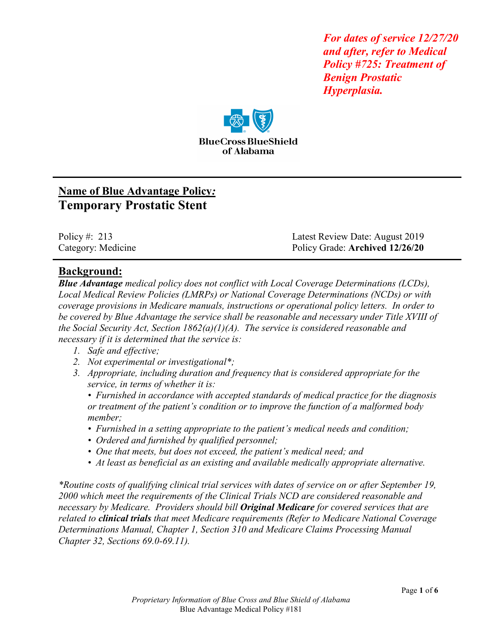*For dates of service 12/27/20 and after, refer to Medical Policy #725: Treatment of Benign Prostatic Hyperplasia.* 



# **Name of Blue Advantage Policy***:* **Temporary Prostatic Stent**

Policy #: 213 Latest Review Date: August 2019 Category: Medicine Policy Grade: **Archived 12/26/20**

### **Background:**

*Blue Advantage medical policy does not conflict with Local Coverage Determinations (LCDs), Local Medical Review Policies (LMRPs) or National Coverage Determinations (NCDs) or with coverage provisions in Medicare manuals, instructions or operational policy letters. In order to be covered by Blue Advantage the service shall be reasonable and necessary under Title XVIII of the Social Security Act, Section 1862(a)(1)(A). The service is considered reasonable and necessary if it is determined that the service is:*

- *1. Safe and effective;*
- *2. Not experimental or investigational\*;*
- *3. Appropriate, including duration and frequency that is considered appropriate for the service, in terms of whether it is:*

*• Furnished in accordance with accepted standards of medical practice for the diagnosis or treatment of the patient's condition or to improve the function of a malformed body member;*

- *Furnished in a setting appropriate to the patient's medical needs and condition;*
- *Ordered and furnished by qualified personnel;*
- *One that meets, but does not exceed, the patient's medical need; and*
- *At least as beneficial as an existing and available medically appropriate alternative.*

*\*Routine costs of qualifying clinical trial services with dates of service on or after September 19, 2000 which meet the requirements of the Clinical Trials NCD are considered reasonable and necessary by Medicare. Providers should bill Original Medicare for covered services that are related to clinical trials that meet Medicare requirements (Refer to Medicare National Coverage Determinations Manual, Chapter 1, Section 310 and Medicare Claims Processing Manual Chapter 32, Sections 69.0-69.11).*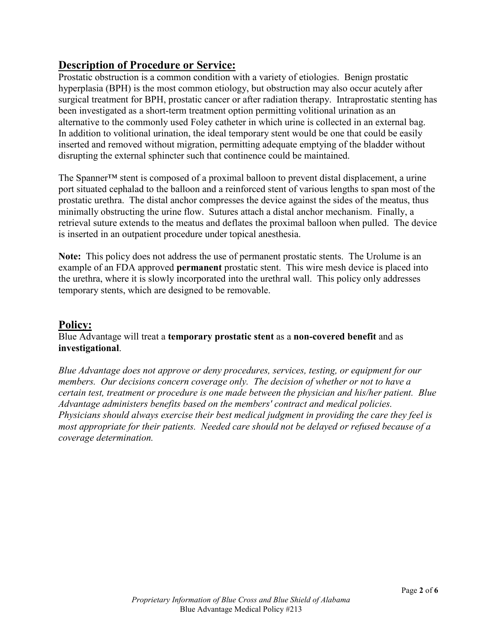### **Description of Procedure or Service:**

Prostatic obstruction is a common condition with a variety of etiologies. Benign prostatic hyperplasia (BPH) is the most common etiology, but obstruction may also occur acutely after surgical treatment for BPH, prostatic cancer or after radiation therapy. Intraprostatic stenting has been investigated as a short-term treatment option permitting volitional urination as an alternative to the commonly used Foley catheter in which urine is collected in an external bag. In addition to volitional urination, the ideal temporary stent would be one that could be easily inserted and removed without migration, permitting adequate emptying of the bladder without disrupting the external sphincter such that continence could be maintained.

The Spanner™ stent is composed of a proximal balloon to prevent distal displacement, a urine port situated cephalad to the balloon and a reinforced stent of various lengths to span most of the prostatic urethra. The distal anchor compresses the device against the sides of the meatus, thus minimally obstructing the urine flow. Sutures attach a distal anchor mechanism. Finally, a retrieval suture extends to the meatus and deflates the proximal balloon when pulled. The device is inserted in an outpatient procedure under topical anesthesia.

**Note:** This policy does not address the use of permanent prostatic stents. The Urolume is an example of an FDA approved **permanent** prostatic stent. This wire mesh device is placed into the urethra, where it is slowly incorporated into the urethral wall. This policy only addresses temporary stents, which are designed to be removable.

### **Policy:**

#### Blue Advantage will treat a **temporary prostatic stent** as a **non-covered benefit** and as **investigational**.

*Blue Advantage does not approve or deny procedures, services, testing, or equipment for our members. Our decisions concern coverage only. The decision of whether or not to have a certain test, treatment or procedure is one made between the physician and his/her patient. Blue Advantage administers benefits based on the members' contract and medical policies. Physicians should always exercise their best medical judgment in providing the care they feel is most appropriate for their patients. Needed care should not be delayed or refused because of a coverage determination.*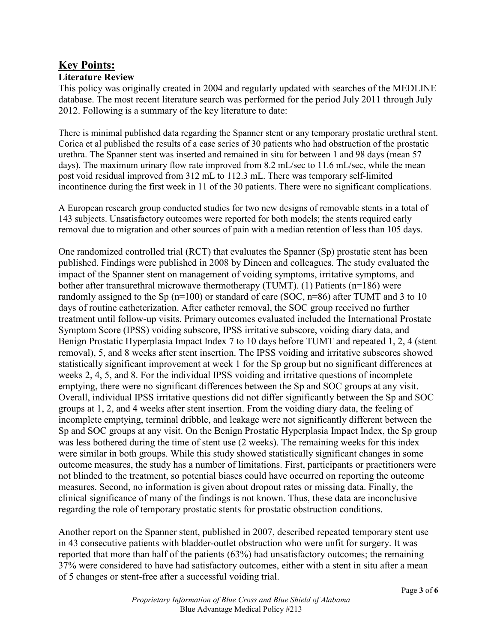## **Key Points:**

#### **Literature Review**

This policy was originally created in 2004 and regularly updated with searches of the MEDLINE database. The most recent literature search was performed for the period July 2011 through July 2012. Following is a summary of the key literature to date:

There is minimal published data regarding the Spanner stent or any temporary prostatic urethral stent. Corica et al published the results of a case series of 30 patients who had obstruction of the prostatic urethra. The Spanner stent was inserted and remained in situ for between 1 and 98 days (mean 57 days). The maximum urinary flow rate improved from 8.2 mL/sec to 11.6 mL/sec, while the mean post void residual improved from 312 mL to 112.3 mL. There was temporary self-limited incontinence during the first week in 11 of the 30 patients. There were no significant complications.

A European research group conducted studies for two new designs of removable stents in a total of 143 subjects. Unsatisfactory outcomes were reported for both models; the stents required early removal due to migration and other sources of pain with a median retention of less than 105 days.

One randomized controlled trial (RCT) that evaluates the Spanner (Sp) prostatic stent has been published. Findings were published in 2008 by Dineen and colleagues. The study evaluated the impact of the Spanner stent on management of voiding symptoms, irritative symptoms, and bother after transurethral microwave thermotherapy (TUMT). (1) Patients (n=186) were randomly assigned to the Sp ( $n=100$ ) or standard of care (SOC,  $n=86$ ) after TUMT and 3 to 10 days of routine catheterization. After catheter removal, the SOC group received no further treatment until follow-up visits. Primary outcomes evaluated included the International Prostate Symptom Score (IPSS) voiding subscore, IPSS irritative subscore, voiding diary data, and Benign Prostatic Hyperplasia Impact Index 7 to 10 days before TUMT and repeated 1, 2, 4 (stent removal), 5, and 8 weeks after stent insertion. The IPSS voiding and irritative subscores showed statistically significant improvement at week 1 for the Sp group but no significant differences at weeks 2, 4, 5, and 8. For the individual IPSS voiding and irritative questions of incomplete emptying, there were no significant differences between the Sp and SOC groups at any visit. Overall, individual IPSS irritative questions did not differ significantly between the Sp and SOC groups at 1, 2, and 4 weeks after stent insertion. From the voiding diary data, the feeling of incomplete emptying, terminal dribble, and leakage were not significantly different between the Sp and SOC groups at any visit. On the Benign Prostatic Hyperplasia Impact Index, the Sp group was less bothered during the time of stent use (2 weeks). The remaining weeks for this index were similar in both groups. While this study showed statistically significant changes in some outcome measures, the study has a number of limitations. First, participants or practitioners were not blinded to the treatment, so potential biases could have occurred on reporting the outcome measures. Second, no information is given about dropout rates or missing data. Finally, the clinical significance of many of the findings is not known. Thus, these data are inconclusive regarding the role of temporary prostatic stents for prostatic obstruction conditions.

Another report on the Spanner stent, published in 2007, described repeated temporary stent use in 43 consecutive patients with bladder-outlet obstruction who were unfit for surgery. It was reported that more than half of the patients (63%) had unsatisfactory outcomes; the remaining 37% were considered to have had satisfactory outcomes, either with a stent in situ after a mean of 5 changes or stent-free after a successful voiding trial.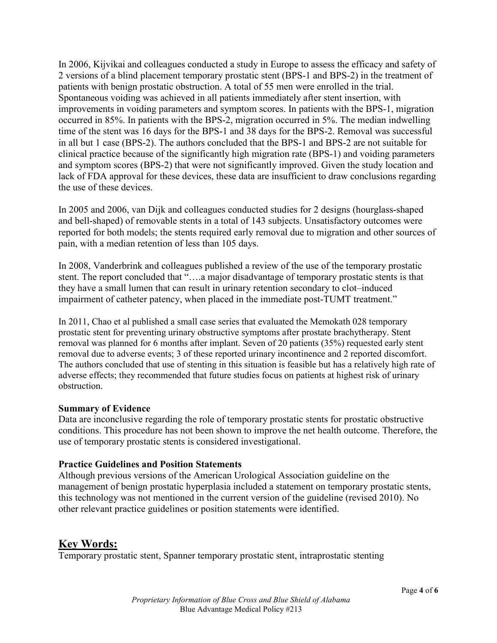In 2006, Kijvikai and colleagues conducted a study in Europe to assess the efficacy and safety of 2 versions of a blind placement temporary prostatic stent (BPS-1 and BPS-2) in the treatment of patients with benign prostatic obstruction. A total of 55 men were enrolled in the trial. Spontaneous voiding was achieved in all patients immediately after stent insertion, with improvements in voiding parameters and symptom scores. In patients with the BPS-1, migration occurred in 85%. In patients with the BPS-2, migration occurred in 5%. The median indwelling time of the stent was 16 days for the BPS-1 and 38 days for the BPS-2. Removal was successful in all but 1 case (BPS-2). The authors concluded that the BPS-1 and BPS-2 are not suitable for clinical practice because of the significantly high migration rate (BPS-1) and voiding parameters and symptom scores (BPS-2) that were not significantly improved. Given the study location and lack of FDA approval for these devices, these data are insufficient to draw conclusions regarding the use of these devices.

In 2005 and 2006, van Dijk and colleagues conducted studies for 2 designs (hourglass-shaped and bell-shaped) of removable stents in a total of 143 subjects. Unsatisfactory outcomes were reported for both models; the stents required early removal due to migration and other sources of pain, with a median retention of less than 105 days.

In 2008, Vanderbrink and colleagues published a review of the use of the temporary prostatic stent. The report concluded that "….a major disadvantage of temporary prostatic stents is that they have a small lumen that can result in urinary retention secondary to clot–induced impairment of catheter patency, when placed in the immediate post-TUMT treatment."

In 2011, Chao et al published a small case series that evaluated the Memokath 028 temporary prostatic stent for preventing urinary obstructive symptoms after prostate brachytherapy. Stent removal was planned for 6 months after implant. Seven of 20 patients (35%) requested early stent removal due to adverse events; 3 of these reported urinary incontinence and 2 reported discomfort. The authors concluded that use of stenting in this situation is feasible but has a relatively high rate of adverse effects; they recommended that future studies focus on patients at highest risk of urinary obstruction.

#### **Summary of Evidence**

Data are inconclusive regarding the role of temporary prostatic stents for prostatic obstructive conditions. This procedure has not been shown to improve the net health outcome. Therefore, the use of temporary prostatic stents is considered investigational.

#### **Practice Guidelines and Position Statements**

Although previous versions of the American Urological Association guideline on the management of benign prostatic hyperplasia included a statement on temporary prostatic stents, this technology was not mentioned in the current version of the guideline (revised 2010). No other relevant practice guidelines or position statements were identified.

### **Key Words:**

Temporary prostatic stent, Spanner temporary prostatic stent, intraprostatic stenting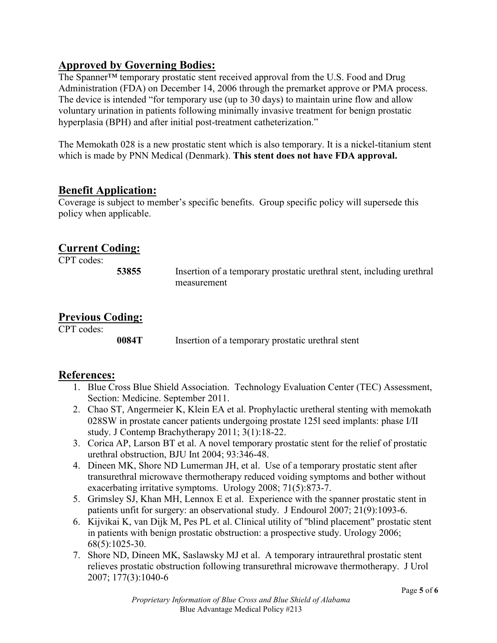### **Approved by Governing Bodies:**

The Spanner™ temporary prostatic stent received approval from the U.S. Food and Drug Administration (FDA) on December 14, 2006 through the premarket approve or PMA process. The device is intended "for temporary use (up to 30 days) to maintain urine flow and allow voluntary urination in patients following minimally invasive treatment for benign prostatic hyperplasia (BPH) and after initial post-treatment catheterization."

The Memokath 028 is a new prostatic stent which is also temporary. It is a nickel-titanium stent which is made by PNN Medical (Denmark). **This stent does not have FDA approval.**

### **Benefit Application:**

Coverage is subject to member's specific benefits. Group specific policy will supersede this policy when applicable.

### **Current Coding:**

CPT codes:

**53855** Insertion of a temporary prostatic urethral stent, including urethral measurement

### **Previous Coding:**

CPT codes:

**0084T** Insertion of a temporary prostatic urethral stent

### **References:**

- 1. Blue Cross Blue Shield Association. Technology Evaluation Center (TEC) Assessment, Section: Medicine. September 2011.
- 2. Chao ST, Angermeier K, Klein EA et al. Prophylactic uretheral stenting with memokath 028SW in prostate cancer patients undergoing prostate 125l seed implants: phase I/II study. J Contemp Brachytherapy 2011; 3(1):18-22.
- 3. Corica AP, Larson BT et al. A novel temporary prostatic stent for the relief of prostatic urethral obstruction, BJU Int 2004; 93:346-48.
- 4. Dineen MK, Shore ND Lumerman JH, et al. Use of a temporary prostatic stent after transurethral microwave thermotherapy reduced voiding symptoms and bother without exacerbating irritative symptoms. Urology 2008; 71(5):873-7.
- 5. Grimsley SJ, Khan MH, Lennox E et al. Experience with the spanner prostatic stent in patients unfit for surgery: an observational study. J Endourol 2007; 21(9):1093-6.
- 6. Kijvikai K, van Dijk M, Pes PL et al. Clinical utility of "blind placement" prostatic stent in patients with benign prostatic obstruction: a prospective study. Urology 2006; 68(5):1025-30.
- 7. Shore ND, Dineen MK, Saslawsky MJ et al. A temporary intraurethral prostatic stent relieves prostatic obstruction following transurethral microwave thermotherapy. J Urol 2007; 177(3):1040-6